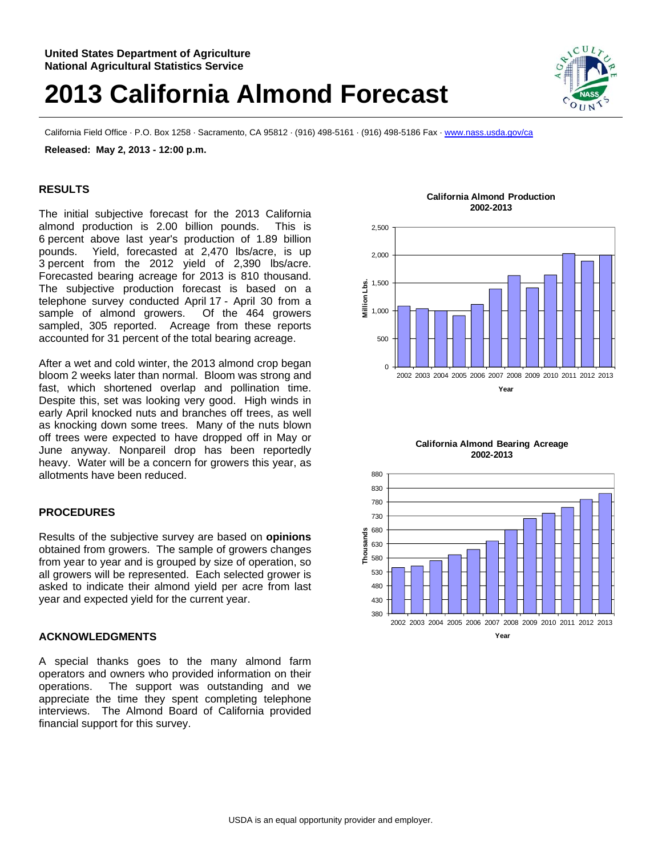## **2013 California Almond Forecast**

California Field Office · P.O. Box 1258 · Sacramento, CA 95812 · (916) 498-5161 · (916) 498-5186 Fax · www.nass.usda.gov/ca

**Released: May 2, 2013 - 12:00 p.m.** 

## **RESULTS**

The initial subjective forecast for the 2013 California almond production is 2.00 billion pounds. This is 6 percent above last year's production of 1.89 billion pounds. Yield, forecasted at 2,470 lbs/acre, is up 3 percent from the 2012 yield of 2,390 lbs/acre. Forecasted bearing acreage for 2013 is 810 thousand. The subjective production forecast is based on a telephone survey conducted April 17 - April 30 from a sample of almond growers. Of the 464 growers sampled, 305 reported. Acreage from these reports accounted for 31 percent of the total bearing acreage.

After a wet and cold winter, the 2013 almond crop began bloom 2 weeks later than normal. Bloom was strong and fast, which shortened overlap and pollination time. Despite this, set was looking very good. High winds in early April knocked nuts and branches off trees, as well as knocking down some trees. Many of the nuts blown off trees were expected to have dropped off in May or June anyway. Nonpareil drop has been reportedly heavy. Water will be a concern for growers this year, as allotments have been reduced.

## **PROCEDURES**

Results of the subjective survey are based on **opinions** obtained from growers. The sample of growers changes from year to year and is grouped by size of operation, so all growers will be represented. Each selected grower is asked to indicate their almond yield per acre from last year and expected yield for the current year.

## **ACKNOWLEDGMENTS**

A special thanks goes to the many almond farm operators and owners who provided information on their operations. The support was outstanding and we appreciate the time they spent completing telephone interviews. The Almond Board of California provided financial support for this survey.

**California Almond Production 2002-2013**



**California Almond Bearing Acreage 2002-2013**